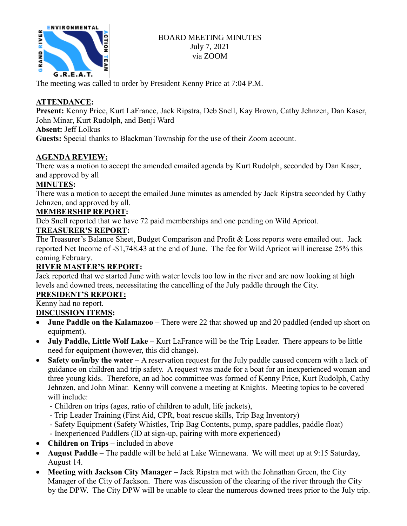

### BOARD MEETING MINUTES July 7, 2021 via ZOOM

The meeting was called to order by President Kenny Price at 7:04 P.M.

## **ATTENDANCE:**

**Present:** Kenny Price, Kurt LaFrance, Jack Ripstra, Deb Snell, Kay Brown, Cathy Jehnzen, Dan Kaser, John Minar, Kurt Rudolph, and Benji Ward

**Absent:** Jeff Lolkus

**Guests:** Special thanks to Blackman Township for the use of their Zoom account.

## **AGENDA REVIEW:**

There was a motion to accept the amended emailed agenda by Kurt Rudolph, seconded by Dan Kaser, and approved by all

## **MINUTES:**

There was a motion to accept the emailed June minutes as amended by Jack Ripstra seconded by Cathy Jehnzen, and approved by all.

## **MEMBERSHIP REPORT:**

Deb Snell reported that we have 72 paid memberships and one pending on Wild Apricot.

# **TREASURER'S REPORT:**

The Treasurer's Balance Sheet, Budget Comparison and Profit & Loss reports were emailed out. Jack reported Net Income of -\$1,748.43 at the end of June. The fee for Wild Apricot will increase 25% this coming February.

# **RIVER MASTER'S REPORT:**

Jack reported that we started June with water levels too low in the river and are now looking at high levels and downed trees, necessitating the cancelling of the July paddle through the City.

# **PRESIDENT'S REPORT:**

# Kenny had no report.

### **DISCUSSION ITEMS:**

- **June Paddle on the Kalamazoo** There were 22 that showed up and 20 paddled (ended up short on equipment).
- **July Paddle, Little Wolf Lake** Kurt LaFrance will be the Trip Leader. There appears to be little need for equipment (however, this did change).
- **Safety on/in/by the water** A reservation request for the July paddle caused concern with a lack of guidance on children and trip safety. A request was made for a boat for an inexperienced woman and three young kids. Therefore, an ad hoc committee was formed of Kenny Price, Kurt Rudolph, Cathy Jehnzen, and John Minar. Kenny will convene a meeting at Knights. Meeting topics to be covered will include:
	- Children on trips (ages, ratio of children to adult, life jackets),
	- Trip Leader Training (First Aid, CPR, boat rescue skills, Trip Bag Inventory)
	- Safety Equipment (Safety Whistles, Trip Bag Contents, pump, spare paddles, paddle float)
	- Inexperienced Paddlers (ID at sign-up, pairing with more experienced)
- **Children on Trips –** included in above
- **August Paddle** The paddle will be held at Lake Winnewana. We will meet up at 9:15 Saturday, August 14.
- **Meeting with Jackson City Manager** Jack Ripstra met with the Johnathan Green, the City Manager of the City of Jackson. There was discussion of the clearing of the river through the City by the DPW. The City DPW will be unable to clear the numerous downed trees prior to the July trip.